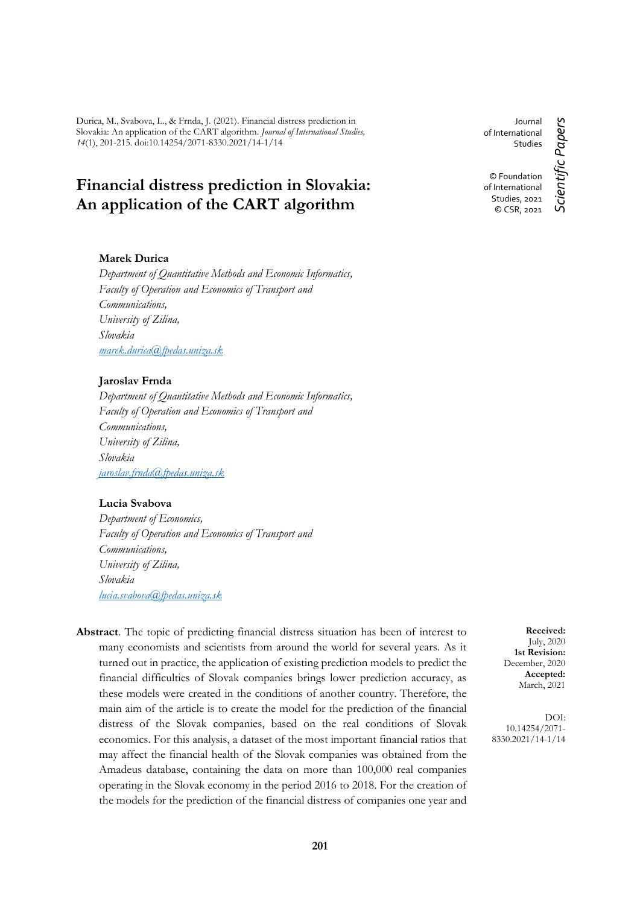Durica, M., Svabova, L., & Frnda, J. (2021). Financial distress prediction in Slovakia: An application of the CART algorithm. *Journal of International Studies, 14*(1), 201-215. doi:10.14254/2071-8330.2021/14-1/14

# **Financial distress prediction in Slovakia: An application of the CART algorithm**

# **Marek Durica**

*Department of Quantitative Methods and Economic Informatics, Faculty of Operation and Economics of Transport and Communications, University of Zilina, Slovakia [marek.durica@fpedas.uniza.sk](mailto:marek.durica@fpedas.uniza.sk)*

# **Jaroslav Frnda**

*Department of Quantitative Methods and Economic Informatics, Faculty of Operation and Economics of Transport and Communications, University of Zilina, Slovakia [jaroslav.frnda@fpedas.uniza.sk](mailto:jaroslav.frnda@fpedas.uniza.sk)*

# **Lucia Svabova**

*Department of Economics, Faculty of Operation and Economics of Transport and Communications, University of Zilina, Slovakia [lucia.svabova@fpedas.uniza.sk](mailto:lucia.svabova@fpedas.uniza.sk)*

**Abstract**. The topic of predicting financial distress situation has been of interest to many economists and scientists from around the world for several years. As it turned out in practice, the application of existing prediction models to predict the financial difficulties of Slovak companies brings lower prediction accuracy, as these models were created in the conditions of another country. Therefore, the main aim of the article is to create the model for the prediction of the financial distress of the Slovak companies, based on the real conditions of Slovak economics. For this analysis, a dataset of the most important financial ratios that may affect the financial health of the Slovak companies was obtained from the Amadeus database, containing the data on more than 100,000 real companies operating in the Slovak economy in the period 2016 to 2018. For the creation of the models for the prediction of the financial distress of companies one year and

Journal of International **Studies** © Foundation of International Studies, 2021 © CSR, 2021

Scientific Papers *Scientific Papers*

**Received:** July, 2020 **1st Revision:** December, 2020 **Accepted:** March, 2021

DOI: 10.14254/2071- 8330.2021/14-1/14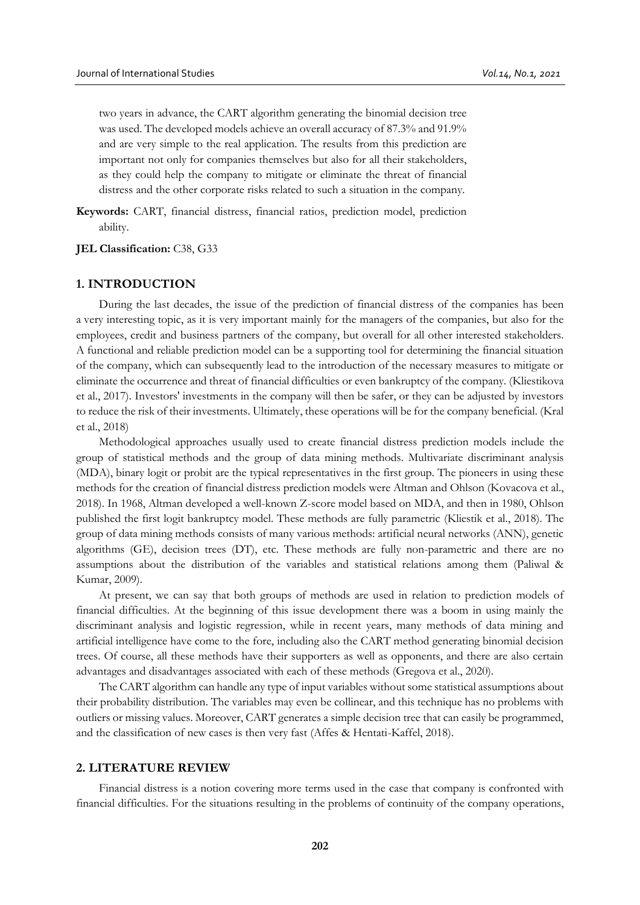two years in advance, the CART algorithm generating the binomial decision tree was used. The developed models achieve an overall accuracy of 87.3% and 91.9% and are very simple to the real application. The results from this prediction are important not only for companies themselves but also for all their stakeholders, as they could help the company to mitigate or eliminate the threat of financial distress and the other corporate risks related to such a situation in the company.

**Keywords:** CART, financial distress, financial ratios, prediction model, prediction ability.

#### **JEL Classification:** C38, G33

### **1. INTRODUCTION**

During the last decades, the issue of the prediction of financial distress of the companies has been a very interesting topic, as it is very important mainly for the managers of the companies, but also for the employees, credit and business partners of the company, but overall for all other interested stakeholders. A functional and reliable prediction model can be a supporting tool for determining the financial situation of the company, which can subsequently lead to the introduction of the necessary measures to mitigate or eliminate the occurrence and threat of financial difficulties or even bankruptcy of the company. (Kliestikova et al., 2017). Investors' investments in the company will then be safer, or they can be adjusted by investors to reduce the risk of their investments. Ultimately, these operations will be for the company beneficial. (Kral et al., 2018)

Methodological approaches usually used to create financial distress prediction models include the group of statistical methods and the group of data mining methods. Multivariate discriminant analysis (MDA), binary logit or probit are the typical representatives in the first group. The pioneers in using these methods for the creation of financial distress prediction models were Altman and Ohlson (Kovacova et al., 2018). In 1968, Altman developed a well-known Z-score model based on MDA, and then in 1980, Ohlson published the first logit bankruptcy model. These methods are fully parametric (Kliestik et al., 2018). The group of data mining methods consists of many various methods: artificial neural networks (ANN), genetic algorithms (GE), decision trees (DT), etc. These methods are fully non-parametric and there are no assumptions about the distribution of the variables and statistical relations among them (Paliwal & Kumar, 2009).

At present, we can say that both groups of methods are used in relation to prediction models of financial difficulties. At the beginning of this issue development there was a boom in using mainly the discriminant analysis and logistic regression, while in recent years, many methods of data mining and artificial intelligence have come to the fore, including also the CART method generating binomial decision trees. Of course, all these methods have their supporters as well as opponents, and there are also certain advantages and disadvantages associated with each of these methods (Gregova et al., 2020).

The CART algorithm can handle any type of input variables without some statistical assumptions about their probability distribution. The variables may even be collinear, and this technique has no problems with outliers or missing values. Moreover, CART generates a simple decision tree that can easily be programmed, and the classification of new cases is then very fast (Affes & Hentati-Kaffel, 2018).

### **2. LITERATURE REVIEW**

Financial distress is a notion covering more terms used in the case that company is confronted with financial difficulties. For the situations resulting in the problems of continuity of the company operations,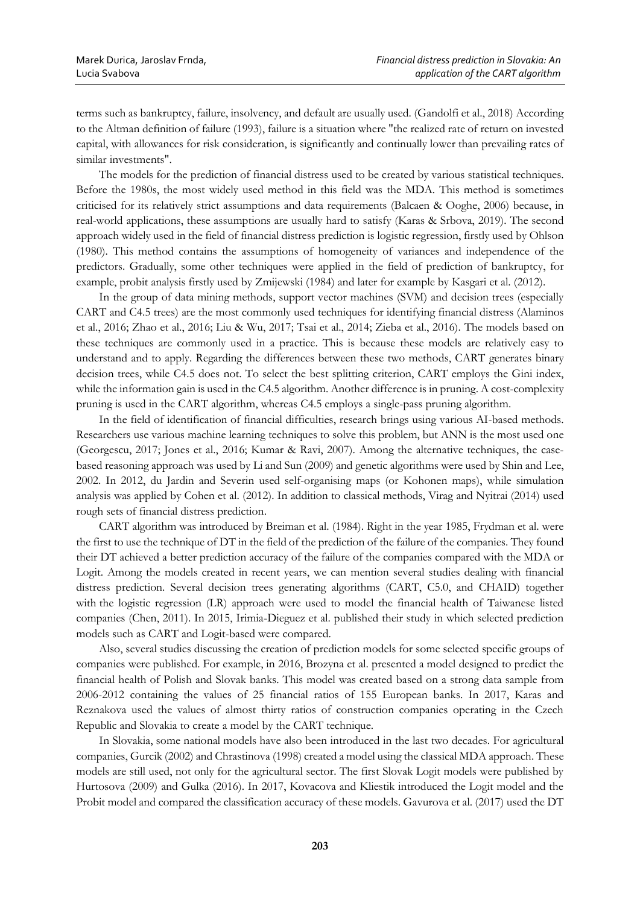terms such as bankruptcy, failure, insolvency, and default are usually used. (Gandolfi et al., 2018) According to the Altman definition of failure (1993), failure is a situation where "the realized rate of return on invested capital, with allowances for risk consideration, is significantly and continually lower than prevailing rates of similar investments".

The models for the prediction of financial distress used to be created by various statistical techniques. Before the 1980s, the most widely used method in this field was the MDA. This method is sometimes criticised for its relatively strict assumptions and data requirements (Balcaen & Ooghe, 2006) because, in real-world applications, these assumptions are usually hard to satisfy (Karas & Srbova, 2019). The second approach widely used in the field of financial distress prediction is logistic regression, firstly used by Ohlson (1980). This method contains the assumptions of homogeneity of variances and independence of the predictors. Gradually, some other techniques were applied in the field of prediction of bankruptcy, for example, probit analysis firstly used by Zmijewski (1984) and later for example by Kasgari et al. (2012).

In the group of data mining methods, support vector machines (SVM) and decision trees (especially CART and C4.5 trees) are the most commonly used techniques for identifying financial distress (Alaminos et al., 2016; Zhao et al., 2016; Liu & Wu, 2017; Tsai et al., 2014; Zieba et al., 2016). The models based on these techniques are commonly used in a practice. This is because these models are relatively easy to understand and to apply. Regarding the differences between these two methods, CART generates binary decision trees, while C4.5 does not. To select the best splitting criterion, CART employs the Gini index, while the information gain is used in the C4.5 algorithm. Another difference is in pruning. A cost-complexity pruning is used in the CART algorithm, whereas C4.5 employs a single-pass pruning algorithm.

In the field of identification of financial difficulties, research brings using various AI-based methods. Researchers use various machine learning techniques to solve this problem, but ANN is the most used one (Georgescu, 2017; Jones et al., 2016; Kumar & Ravi, 2007). Among the alternative techniques, the casebased reasoning approach was used by Li and Sun (2009) and genetic algorithms were used by Shin and Lee, 2002. In 2012, du Jardin and Severin used self-organising maps (or Kohonen maps), while simulation analysis was applied by Cohen et al. (2012). In addition to classical methods, Virag and Nyitrai (2014) used rough sets of financial distress prediction.

CART algorithm was introduced by Breiman et al. (1984). Right in the year 1985, Frydman et al. were the first to use the technique of DT in the field of the prediction of the failure of the companies. They found their DT achieved a better prediction accuracy of the failure of the companies compared with the MDA or Logit. Among the models created in recent years, we can mention several studies dealing with financial distress prediction. Several decision trees generating algorithms (CART, C5.0, and CHAID) together with the logistic regression (LR) approach were used to model the financial health of Taiwanese listed companies (Chen, 2011). In 2015, Irimia-Dieguez et al. published their study in which selected prediction models such as CART and Logit-based were compared.

Also, several studies discussing the creation of prediction models for some selected specific groups of companies were published. For example, in 2016, Brozyna et al. presented a model designed to predict the financial health of Polish and Slovak banks. This model was created based on a strong data sample from 2006-2012 containing the values of 25 financial ratios of 155 European banks. In 2017, Karas and Reznakova used the values of almost thirty ratios of construction companies operating in the Czech Republic and Slovakia to create a model by the CART technique.

In Slovakia, some national models have also been introduced in the last two decades. For agricultural companies, Gurcik (2002) and Chrastinova (1998) created a model using the classical MDA approach. These models are still used, not only for the agricultural sector. The first Slovak Logit models were published by Hurtosova (2009) and Gulka (2016). In 2017, Kovacova and Kliestik introduced the Logit model and the Probit model and compared the classification accuracy of these models. Gavurova et al. (2017) used the DT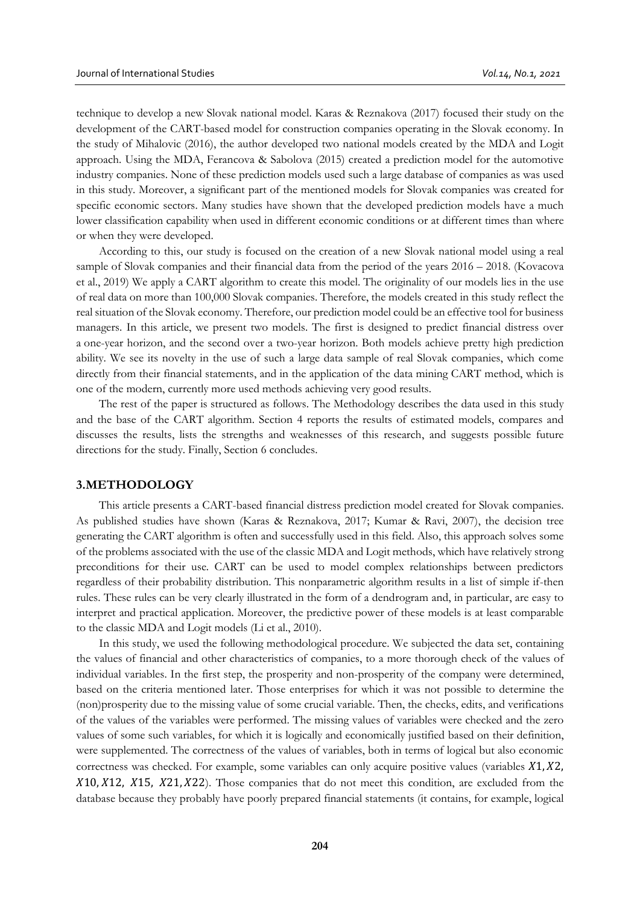technique to develop a new Slovak national model. Karas & Reznakova (2017) focused their study on the development of the CART-based model for construction companies operating in the Slovak economy. In the study of Mihalovic (2016), the author developed two national models created by the MDA and Logit approach. Using the MDA, Ferancova & Sabolova (2015) created a prediction model for the automotive industry companies. None of these prediction models used such a large database of companies as was used in this study. Moreover, a significant part of the mentioned models for Slovak companies was created for specific economic sectors. Many studies have shown that the developed prediction models have a much lower classification capability when used in different economic conditions or at different times than where or when they were developed.

According to this, our study is focused on the creation of a new Slovak national model using a real sample of Slovak companies and their financial data from the period of the years  $2016 - 2018$ . (Kovacova et al., 2019) We apply a CART algorithm to create this model. The originality of our models lies in the use of real data on more than 100,000 Slovak companies. Therefore, the models created in this study reflect the real situation of the Slovak economy. Therefore, our prediction model could be an effective tool for business managers. In this article, we present two models. The first is designed to predict financial distress over a one-year horizon, and the second over a two-year horizon. Both models achieve pretty high prediction ability. We see its novelty in the use of such a large data sample of real Slovak companies, which come directly from their financial statements, and in the application of the data mining CART method, which is one of the modern, currently more used methods achieving very good results.

The rest of the paper is structured as follows. The Methodology describes the data used in this study and the base of the CART algorithm. Section 4 reports the results of estimated models, compares and discusses the results, lists the strengths and weaknesses of this research, and suggests possible future directions for the study. Finally, Section 6 concludes.

#### **3.METHODOLOGY**

This article presents a CART-based financial distress prediction model created for Slovak companies. As published studies have shown (Karas & Reznakova, 2017; Kumar & Ravi, 2007), the decision tree generating the CART algorithm is often and successfully used in this field. Also, this approach solves some of the problems associated with the use of the classic MDA and Logit methods, which have relatively strong preconditions for their use. CART can be used to model complex relationships between predictors regardless of their probability distribution. This nonparametric algorithm results in a list of simple if-then rules. These rules can be very clearly illustrated in the form of a dendrogram and, in particular, are easy to interpret and practical application. Moreover, the predictive power of these models is at least comparable to the classic MDA and Logit models (Li et al., 2010).

In this study, we used the following methodological procedure. We subjected the data set, containing the values of financial and other characteristics of companies, to a more thorough check of the values of individual variables. In the first step, the prosperity and non-prosperity of the company were determined, based on the criteria mentioned later. Those enterprises for which it was not possible to determine the (non)prosperity due to the missing value of some crucial variable. Then, the checks, edits, and verifications of the values of the variables were performed. The missing values of variables were checked and the zero values of some such variables, for which it is logically and economically justified based on their definition, were supplemented. The correctness of the values of variables, both in terms of logical but also economic correctness was checked. For example, some variables can only acquire positive values (variables  $X1, X2$ ,  $X10, X12, X15, X21, X22$ . Those companies that do not meet this condition, are excluded from the database because they probably have poorly prepared financial statements (it contains, for example, logical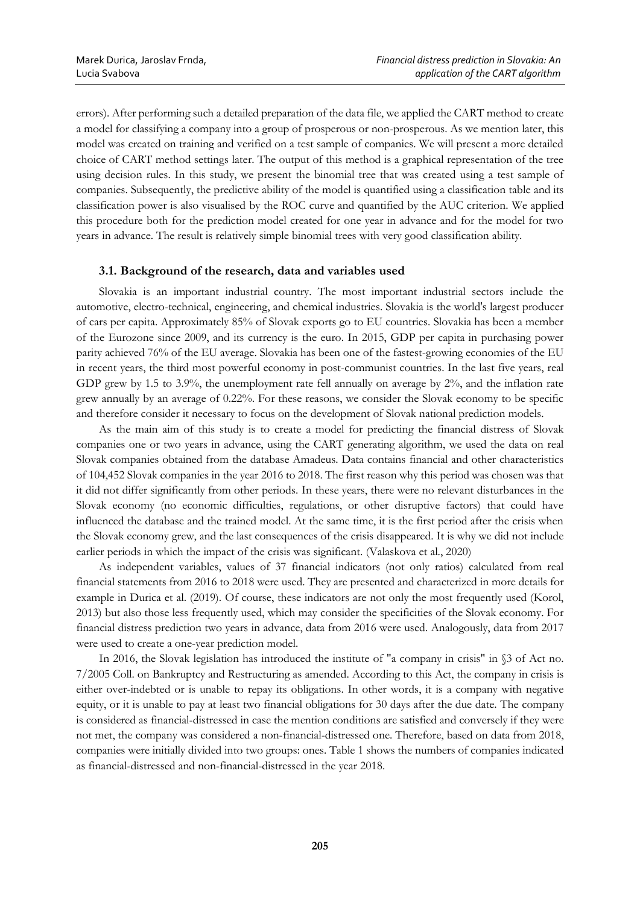errors). After performing such a detailed preparation of the data file, we applied the CART method to create a model for classifying a company into a group of prosperous or non-prosperous. As we mention later, this model was created on training and verified on a test sample of companies. We will present a more detailed choice of CART method settings later. The output of this method is a graphical representation of the tree using decision rules. In this study, we present the binomial tree that was created using a test sample of companies. Subsequently, the predictive ability of the model is quantified using a classification table and its classification power is also visualised by the ROC curve and quantified by the AUC criterion. We applied this procedure both for the prediction model created for one year in advance and for the model for two years in advance. The result is relatively simple binomial trees with very good classification ability.

## **3.1. Background of the research, data and variables used**

Slovakia is an important industrial country. The most important industrial sectors include the automotive, electro-technical, engineering, and chemical industries. Slovakia is the world's largest producer of cars per capita. Approximately 85% of Slovak exports go to EU countries. Slovakia has been a member of the Eurozone since 2009, and its currency is the euro. In 2015, GDP per capita in purchasing power parity achieved 76% of the EU average. Slovakia has been one of the fastest-growing economies of the EU in recent years, the third most powerful economy in post-communist countries. In the last five years, real GDP grew by 1.5 to 3.9%, the unemployment rate fell annually on average by 2%, and the inflation rate grew annually by an average of 0.22%. For these reasons, we consider the Slovak economy to be specific and therefore consider it necessary to focus on the development of Slovak national prediction models.

As the main aim of this study is to create a model for predicting the financial distress of Slovak companies one or two years in advance, using the CART generating algorithm, we used the data on real Slovak companies obtained from the database Amadeus. Data contains financial and other characteristics of 104,452 Slovak companies in the year 2016 to 2018. The first reason why this period was chosen was that it did not differ significantly from other periods. In these years, there were no relevant disturbances in the Slovak economy (no economic difficulties, regulations, or other disruptive factors) that could have influenced the database and the trained model. At the same time, it is the first period after the crisis when the Slovak economy grew, and the last consequences of the crisis disappeared. It is why we did not include earlier periods in which the impact of the crisis was significant. (Valaskova et al., 2020)

As independent variables, values of 37 financial indicators (not only ratios) calculated from real financial statements from 2016 to 2018 were used. They are presented and characterized in more details for example in Durica et al. (2019). Of course, these indicators are not only the most frequently used (Korol, 2013) but also those less frequently used, which may consider the specificities of the Slovak economy. For financial distress prediction two years in advance, data from 2016 were used. Analogously, data from 2017 were used to create a one-year prediction model.

In 2016, the Slovak legislation has introduced the institute of "a company in crisis" in  $\S$ 3 of Act no. 7/2005 Coll. on Bankruptcy and Restructuring as amended. According to this Act, the company in crisis is either over-indebted or is unable to repay its obligations. In other words, it is a company with negative equity, or it is unable to pay at least two financial obligations for 30 days after the due date. The company is considered as financial-distressed in case the mention conditions are satisfied and conversely if they were not met, the company was considered a non-financial-distressed one. Therefore, based on data from 2018, companies were initially divided into two groups: ones. Table 1 shows the numbers of companies indicated as financial-distressed and non-financial-distressed in the year 2018.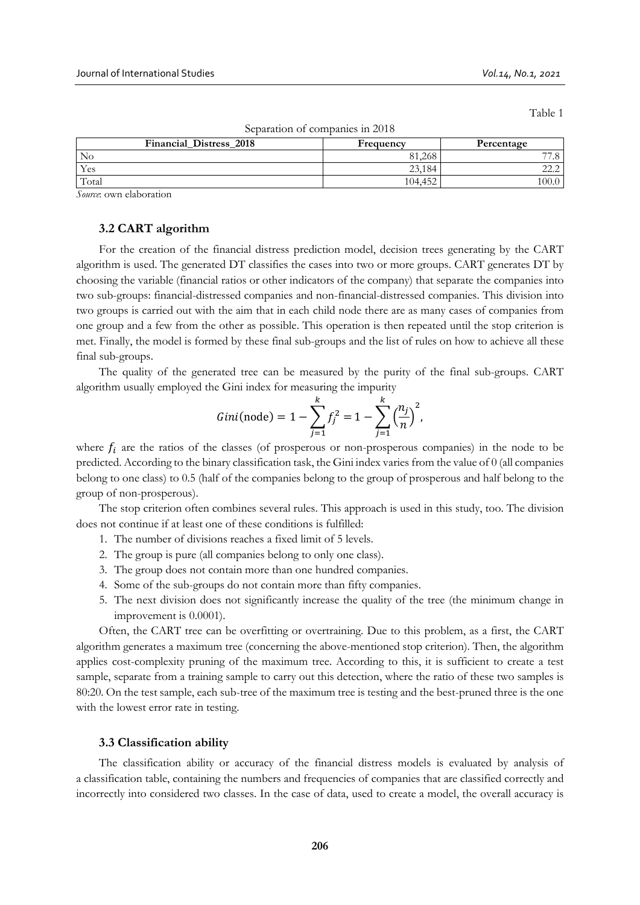Table 1

| Separation of companies in 2018 |           |            |  |  |  |  |
|---------------------------------|-----------|------------|--|--|--|--|
| <b>Financial Distress 2018</b>  | Frequency | Percentage |  |  |  |  |
| No                              | 81.268    |            |  |  |  |  |
| Yes                             | 23,184    |            |  |  |  |  |
| Total                           | 104.452   | 100.0      |  |  |  |  |

Separation of companies in 2018

*Source*: own elaboration

## **3.2 CART algorithm**

For the creation of the financial distress prediction model, decision trees generating by the CART algorithm is used. The generated DT classifies the cases into two or more groups. CART generates DT by choosing the variable (financial ratios or other indicators of the company) that separate the companies into two sub-groups: financial-distressed companies and non-financial-distressed companies. This division into two groups is carried out with the aim that in each child node there are as many cases of companies from one group and a few from the other as possible. This operation is then repeated until the stop criterion is met. Finally, the model is formed by these final sub-groups and the list of rules on how to achieve all these final sub-groups.

The quality of the generated tree can be measured by the purity of the final sub-groups. CART algorithm usually employed the Gini index for measuring the impurity

Gini(node) = 
$$
1 - \sum_{j=1}^{k} f_j^2 = 1 - \sum_{j=1}^{k} \left(\frac{n_j}{n}\right)^2
$$
,

where  $f_i$  are the ratios of the classes (of prosperous or non-prosperous companies) in the node to be predicted. According to the binary classification task, the Gini index varies from the value of 0 (all companies belong to one class) to 0.5 (half of the companies belong to the group of prosperous and half belong to the group of non-prosperous).

The stop criterion often combines several rules. This approach is used in this study, too. The division does not continue if at least one of these conditions is fulfilled:

- 1. The number of divisions reaches a fixed limit of 5 levels.
- 2. The group is pure (all companies belong to only one class).
- 3. The group does not contain more than one hundred companies.
- 4. Some of the sub-groups do not contain more than fifty companies.
- 5. The next division does not significantly increase the quality of the tree (the minimum change in improvement is 0.0001).

Often, the CART tree can be overfitting or overtraining. Due to this problem, as a first, the CART algorithm generates a maximum tree (concerning the above-mentioned stop criterion). Then, the algorithm applies cost-complexity pruning of the maximum tree. According to this, it is sufficient to create a test sample, separate from a training sample to carry out this detection, where the ratio of these two samples is 80:20. On the test sample, each sub-tree of the maximum tree is testing and the best-pruned three is the one with the lowest error rate in testing.

#### **3.3 Classification ability**

The classification ability or accuracy of the financial distress models is evaluated by analysis of a classification table, containing the numbers and frequencies of companies that are classified correctly and incorrectly into considered two classes. In the case of data, used to create a model, the overall accuracy is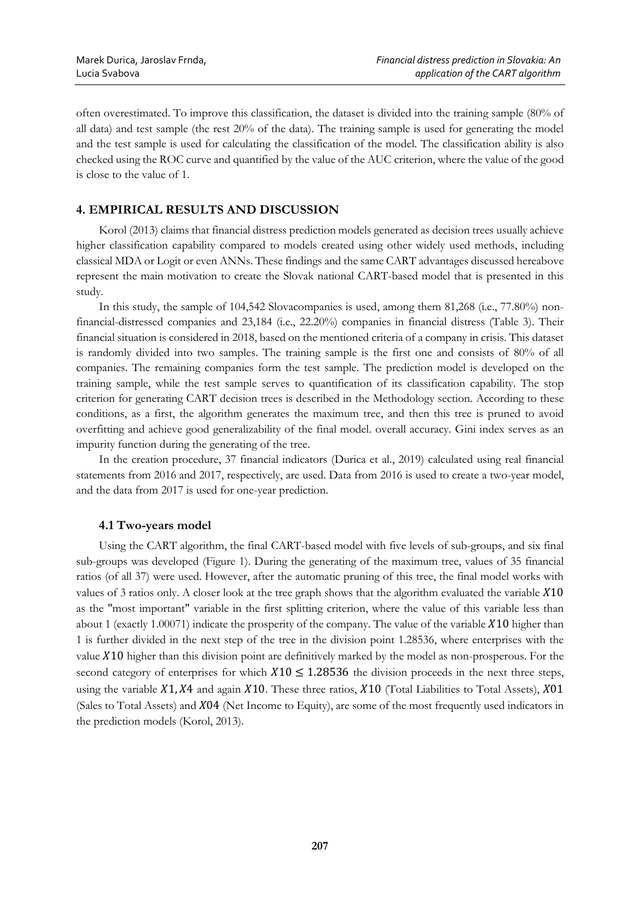often overestimated. To improve this classification, the dataset is divided into the training sample (80% of all data) and test sample (the rest 20% of the data). The training sample is used for generating the model and the test sample is used for calculating the classification of the model. The classification ability is also checked using the ROC curve and quantified by the value of the AUC criterion, where the value of the good is close to the value of 1.

# **4. EMPIRICAL RESULTS AND DISCUSSION**

Korol (2013) claims that financial distress prediction models generated as decision trees usually achieve higher classification capability compared to models created using other widely used methods, including classical MDA or Logit or even ANNs. These findings and the same CART advantages discussed hereabove represent the main motivation to create the Slovak national CART-based model that is presented in this study.

In this study, the sample of 104,542 Slovacompanies is used, among them 81,268 (i.e., 77.80%) nonfinancial-distressed companies and 23,184 (i.e., 22.20%) companies in financial distress (Table 3). Their financial situation is considered in 2018, based on the mentioned criteria of a company in crisis. This dataset is randomly divided into two samples. The training sample is the first one and consists of 80% of all companies. The remaining companies form the test sample. The prediction model is developed on the training sample, while the test sample serves to quantification of its classification capability. The stop criterion for generating CART decision trees is described in the Methodology section. According to these conditions, as a first, the algorithm generates the maximum tree, and then this tree is pruned to avoid overfitting and achieve good generalizability of the final model. overall accuracy. Gini index serves as an impurity function during the generating of the tree.

In the creation procedure, 37 financial indicators (Durica et al., 2019) calculated using real financial statements from 2016 and 2017, respectively, are used. Data from 2016 is used to create a two-year model, and the data from 2017 is used for one-year prediction.

## **4.1 Two-years model**

Using the CART algorithm, the final CART-based model with five levels of sub-groups, and six final sub-groups was developed (Figure 1). During the generating of the maximum tree, values of 35 financial ratios (of all 37) were used. However, after the automatic pruning of this tree, the final model works with values of 3 ratios only. A closer look at the tree graph shows that the algorithm evaluated the variable  $X10$ as the "most important" variable in the first splitting criterion, where the value of this variable less than about 1 (exactly 1.00071) indicate the prosperity of the company. The value of the variable  $X10$  higher than 1 is further divided in the next step of the tree in the division point 1.28536, where enterprises with the value 10 higher than this division point are definitively marked by the model as non-prosperous. For the second category of enterprises for which  $X10 \le 1.28536$  the division proceeds in the next three steps, using the variable  $X1, X4$  and again  $X10$ . These three ratios,  $X10$  (Total Liabilities to Total Assets),  $X01$ (Sales to Total Assets) and  $X04$  (Net Income to Equity), are some of the most frequently used indicators in the prediction models (Korol, 2013).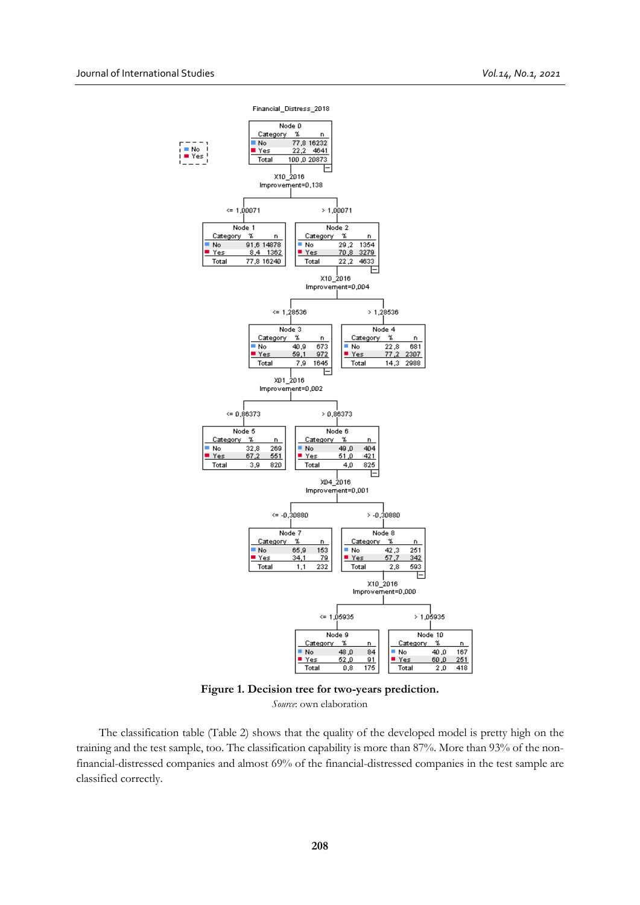

**Figure 1. Decision tree for two-years prediction.** *Source*: own elaboration

The classification table (Table 2) shows that the quality of the developed model is pretty high on the training and the test sample, too. The classification capability is more than 87%. More than 93% of the nonfinancial-distressed companies and almost 69% of the financial-distressed companies in the test sample are classified correctly.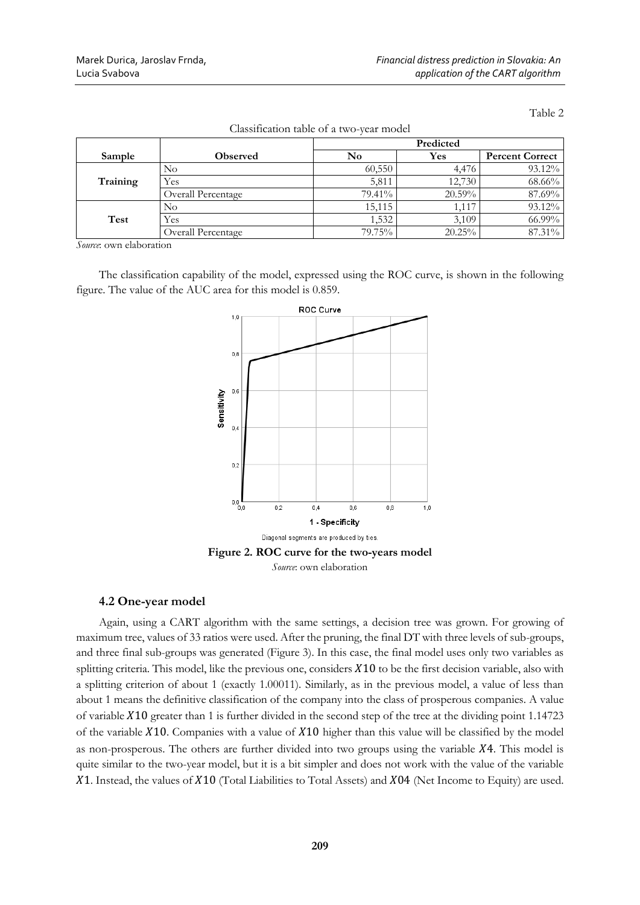Table 2

|          |                           | Predicted |        |                        |
|----------|---------------------------|-----------|--------|------------------------|
| Sample   | <b>Observed</b>           | No        | Yes    | <b>Percent Correct</b> |
| Training | No                        | 60,550    | 4.476  | 93.12%                 |
|          | Yes                       | 5,811     | 12,730 | 68.66%                 |
|          | <b>Overall Percentage</b> | 79.41%    | 20.59% | 87.69%                 |
| Test     | No                        | 15,115    | 1.117  | 93.12%                 |
|          | Yes                       | 1,532     | 3,109  | 66.99%                 |
|          | Overall Percentage        | 79.75%    | 20.25% | 87.31%                 |

Classification table of a two-year model

*Source*: own elaboration

The classification capability of the model, expressed using the ROC curve, is shown in the following figure. The value of the AUC area for this model is 0.859.



# **4.2 One-year model**

Again, using a CART algorithm with the same settings, a decision tree was grown. For growing of maximum tree, values of 33 ratios were used. After the pruning, the final DT with three levels of sub-groups, and three final sub-groups was generated (Figure 3). In this case, the final model uses only two variables as splitting criteria. This model, like the previous one, considers  $X10$  to be the first decision variable, also with a splitting criterion of about 1 (exactly 1.00011). Similarly, as in the previous model, a value of less than about 1 means the definitive classification of the company into the class of prosperous companies. A value of variable  $X10$  greater than 1 is further divided in the second step of the tree at the dividing point 1.14723 of the variable  $X10$ . Companies with a value of  $X10$  higher than this value will be classified by the model as non-prosperous. The others are further divided into two groups using the variable  $X4$ . This model is quite similar to the two-year model, but it is a bit simpler and does not work with the value of the variable  $X1$ . Instead, the values of  $X10$  (Total Liabilities to Total Assets) and  $X04$  (Net Income to Equity) are used.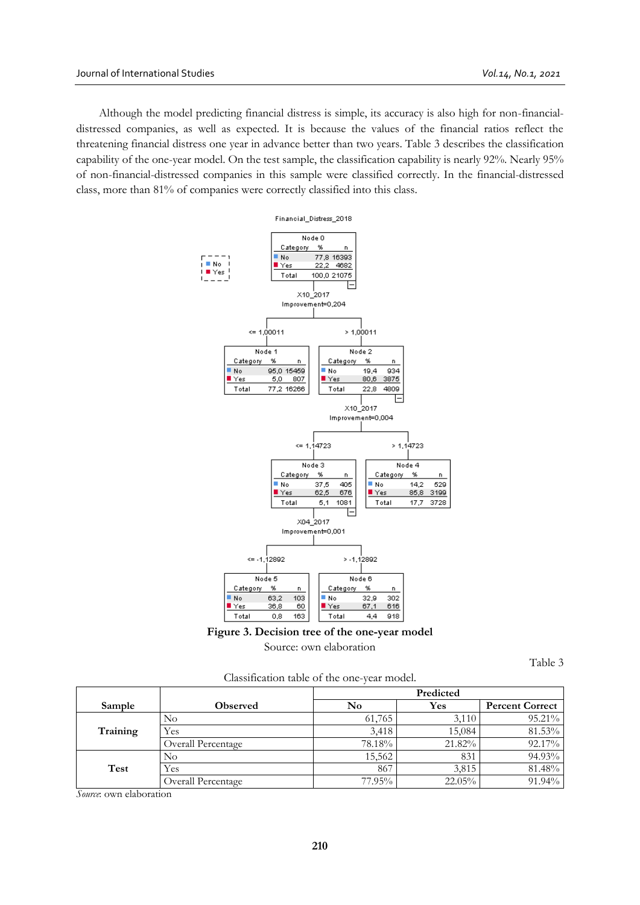Although the model predicting financial distress is simple, its accuracy is also high for non-financialdistressed companies, as well as expected. It is because the values of the financial ratios reflect the threatening financial distress one year in advance better than two years. Table 3 describes the classification capability of the one-year model. On the test sample, the classification capability is nearly 92%. Nearly 95% of non-financial-distressed companies in this sample were classified correctly. In the financial-distressed class, more than 81% of companies were correctly classified into this class.





Source: own elaboration

Table 3

Classification table of the one-year model.

|          |                    |        | Predicted |                        |  |
|----------|--------------------|--------|-----------|------------------------|--|
| Sample   | <b>Observed</b>    | No     | Yes       | <b>Percent Correct</b> |  |
| Training | No                 | 61,765 | 3,110     | 95.21%                 |  |
|          | Yes                | 3,418  | 15,084    | 81.53%                 |  |
|          | Overall Percentage | 78.18% | 21.82%    | 92.17%                 |  |
|          | $\rm No$           | 15,562 | 831       | 94.93%                 |  |
| Test     | Yes                | 867    | 3,815     | 81.48%                 |  |
|          | Overall Percentage | 77.95% | 22.05%    | 91.94%                 |  |

*Source*: own elaboration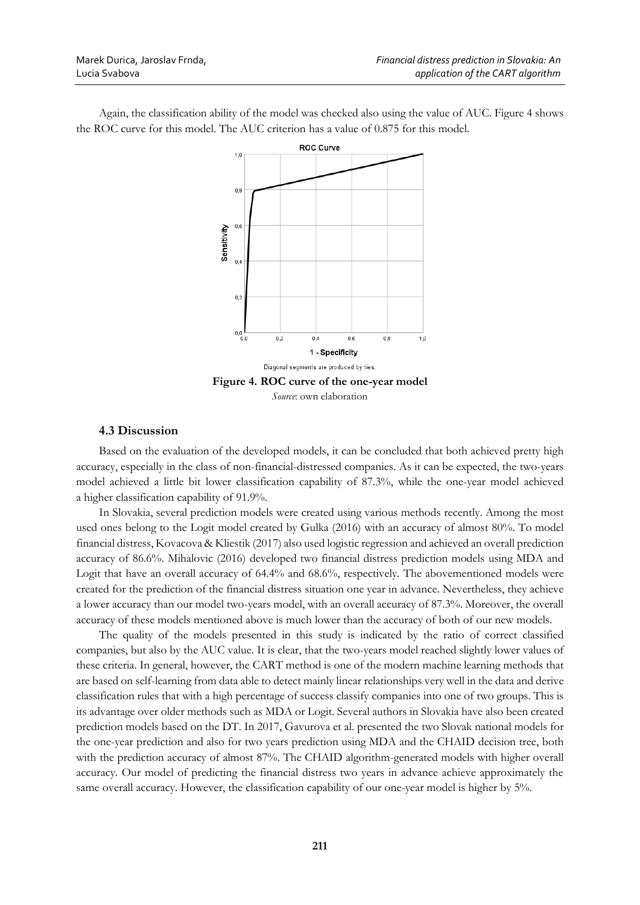Again, the classification ability of the model was checked also using the value of AUC. Figure 4 shows the ROC curve for this model. The AUC criterion has a value of 0.875 for this model.



## **4.3 Discussion**

Based on the evaluation of the developed models, it can be concluded that both achieved pretty high accuracy, especially in the class of non-financial-distressed companies. As it can be expected, the two-years model achieved a little bit lower classification capability of 87.3%, while the one-year model achieved a higher classification capability of 91.9%.

In Slovakia, several prediction models were created using various methods recently. Among the most used ones belong to the Logit model created by Gulka (2016) with an accuracy of almost 80%. To model financial distress, Kovacova & Kliestik (2017) also used logistic regression and achieved an overall prediction accuracy of 86.6%. Mihalovic (2016) developed two financial distress prediction models using MDA and Logit that have an overall accuracy of 64.4% and 68.6%, respectively. The abovementioned models were created for the prediction of the financial distress situation one year in advance. Nevertheless, they achieve a lower accuracy than our model two-years model, with an overall accuracy of 87.3%. Moreover, the overall accuracy of these models mentioned above is much lower than the accuracy of both of our new models.

The quality of the models presented in this study is indicated by the ratio of correct classified companies, but also by the AUC value. It is clear, that the two-years model reached slightly lower values of these criteria. In general, however, the CART method is one of the modern machine learning methods that are based on self-learning from data able to detect mainly linear relationships very well in the data and derive classification rules that with a high percentage of success classify companies into one of two groups. This is its advantage over older methods such as MDA or Logit. Several authors in Slovakia have also been created prediction models based on the DT. In 2017, Gavurova et al. presented the two Slovak national models for the one-year prediction and also for two years prediction using MDA and the CHAID decision tree, both with the prediction accuracy of almost 87%. The CHAID algorithm-generated models with higher overall accuracy. Our model of predicting the financial distress two years in advance achieve approximately the same overall accuracy. However, the classification capability of our one-year model is higher by 5%.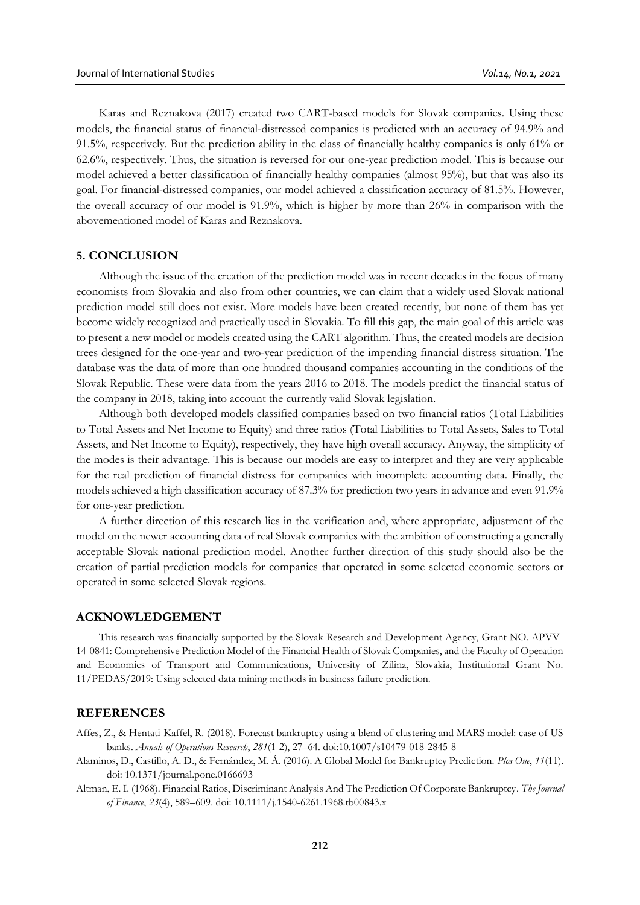Karas and Reznakova (2017) created two CART-based models for Slovak companies. Using these models, the financial status of financial-distressed companies is predicted with an accuracy of 94.9% and 91.5%, respectively. But the prediction ability in the class of financially healthy companies is only 61% or 62.6%, respectively. Thus, the situation is reversed for our one-year prediction model. This is because our model achieved a better classification of financially healthy companies (almost 95%), but that was also its goal. For financial-distressed companies, our model achieved a classification accuracy of 81.5%. However, the overall accuracy of our model is 91.9%, which is higher by more than 26% in comparison with the abovementioned model of Karas and Reznakova.

## **5. CONCLUSION**

Although the issue of the creation of the prediction model was in recent decades in the focus of many economists from Slovakia and also from other countries, we can claim that a widely used Slovak national prediction model still does not exist. More models have been created recently, but none of them has yet become widely recognized and practically used in Slovakia. To fill this gap, the main goal of this article was to present a new model or models created using the CART algorithm. Thus, the created models are decision trees designed for the one-year and two-year prediction of the impending financial distress situation. The database was the data of more than one hundred thousand companies accounting in the conditions of the Slovak Republic. These were data from the years 2016 to 2018. The models predict the financial status of the company in 2018, taking into account the currently valid Slovak legislation.

Although both developed models classified companies based on two financial ratios (Total Liabilities to Total Assets and Net Income to Equity) and three ratios (Total Liabilities to Total Assets, Sales to Total Assets, and Net Income to Equity), respectively, they have high overall accuracy. Anyway, the simplicity of the modes is their advantage. This is because our models are easy to interpret and they are very applicable for the real prediction of financial distress for companies with incomplete accounting data. Finally, the models achieved a high classification accuracy of 87.3% for prediction two years in advance and even 91.9% for one-year prediction.

A further direction of this research lies in the verification and, where appropriate, adjustment of the model on the newer accounting data of real Slovak companies with the ambition of constructing a generally acceptable Slovak national prediction model. Another further direction of this study should also be the creation of partial prediction models for companies that operated in some selected economic sectors or operated in some selected Slovak regions.

#### **ACKNOWLEDGEMENT**

This research was financially supported by the Slovak Research and Development Agency, Grant NO. APVV-14-0841: Comprehensive Prediction Model of the Financial Health of Slovak Companies, and the Faculty of Operation and Economics of Transport and Communications, University of Zilina, Slovakia, Institutional Grant No. 11/PEDAS/2019: Using selected data mining methods in business failure prediction.

# **REFERENCES**

Affes, Z., & Hentati-Kaffel, R. (2018). Forecast bankruptcy using a blend of clustering and MARS model: case of US banks. *Annals of Operations Research*, *281*(1-2), 27–64. doi:10.1007/s10479-018-2845-8

Alaminos, D., Castillo, A. D., & Fernández, M. Á. (2016). A Global Model for Bankruptcy Prediction. *Plos One*, *11*(11). doi: 10.1371/journal.pone.0166693

Altman, E. I. (1968). Financial Ratios, Discriminant Analysis And The Prediction Of Corporate Bankruptcy. *The Journal of Finance*, *23*(4), 589–609. doi: 10.1111/j.1540-6261.1968.tb00843.x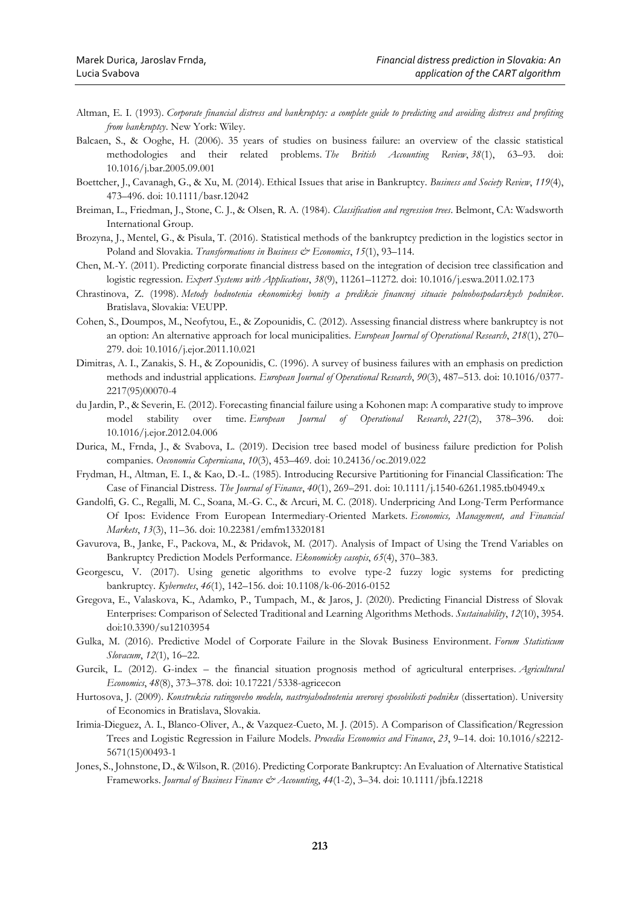- Altman, E. I. (1993). *Corporate financial distress and bankruptcy: a complete guide to predicting and avoiding distress and profiting from bankruptcy*. New York: Wiley.
- Balcaen, S., & Ooghe, H. (2006). 35 years of studies on business failure: an overview of the classic statistical methodologies and their related problems. *The British Accounting Review*, *38*(1), 63–93. doi: 10.1016/j.bar.2005.09.001
- Boettcher, J., Cavanagh, G., & Xu, M. (2014). Ethical Issues that arise in Bankruptcy. *Business and Society Review*, *119*(4), 473–496. doi: 10.1111/basr.12042
- Breiman, L., Friedman, J., Stone, C. J., & Olsen, R. A. (1984). *Classification and regression trees*. Belmont, CA: Wadsworth International Group.
- Brozyna, J., Mentel, G., & Pisula, T. (2016). Statistical methods of the bankruptcy prediction in the logistics sector in Poland and Slovakia. *Transformations in Business & Economics*, 15(1), 93-114.
- Chen, M.-Y. (2011). Predicting corporate financial distress based on the integration of decision tree classification and logistic regression. *Expert Systems with Applications*, *38*(9), 11261–11272. doi: 10.1016/j.eswa.2011.02.173
- Chrastinova, Z. (1998). *Metody hodnotenia ekonomickej bonity a predikcie financnej situacie polnohospodarskych podnikov*. Bratislava, Slovakia: VEUPP.
- Cohen, S., Doumpos, M., Neofytou, E., & Zopounidis, C. (2012). Assessing financial distress where bankruptcy is not an option: An alternative approach for local municipalities. *European Journal of Operational Research*, *218*(1), 270– 279. doi: 10.1016/j.ejor.2011.10.021
- Dimitras, A. I., Zanakis, S. H., & Zopounidis, C. (1996). A survey of business failures with an emphasis on prediction methods and industrial applications. *European Journal of Operational Research*, *90*(3), 487–513. doi: 10.1016/0377- 2217(95)00070-4
- du Jardin, P., & Severin, E. (2012). Forecasting financial failure using a Kohonen map: A comparative study to improve model stability over time. *European Journal of Operational Research*, 221(2), 378–396. 10.1016/j.ejor.2012.04.006
- Durica, M., Frnda, J., & Svabova, L. (2019). Decision tree based model of business failure prediction for Polish companies. *Oeconomia Copernicana*, *10*(3), 453–469. doi: 10.24136/oc.2019.022
- Frydman, H., Altman, E. I., & Kao, D.-L. (1985). Introducing Recursive Partitioning for Financial Classification: The Case of Financial Distress. *The Journal of Finance*, *40*(1), 269–291. doi: 10.1111/j.1540-6261.1985.tb04949.x
- Gandolfi, G. C., Regalli, M. C., Soana, M.-G. C., & Arcuri, M. C. (2018). Underpricing And Long-Term Performance Of Ipos: Evidence From European Intermediary-Oriented Markets. *Economics, Management, and Financial Markets*, *13*(3), 11–36. doi: 10.22381/emfm13320181
- Gavurova, B., Janke, F., Packova, M., & Pridavok, M. (2017). Analysis of Impact of Using the Trend Variables on Bankruptcy Prediction Models Performance. *Ekonomicky casopis*, *65*(4), 370–383.
- Georgescu, V. (2017). Using genetic algorithms to evolve type-2 fuzzy logic systems for predicting bankruptcy. *Kybernetes*, *46*(1), 142–156. doi: 10.1108/k-06-2016-0152
- Gregova, E., Valaskova, K., Adamko, P., Tumpach, M., & Jaros, J. (2020). Predicting Financial Distress of Slovak Enterprises: Comparison of Selected Traditional and Learning Algorithms Methods. *Sustainability*, *12*(10), 3954. doi:10.3390/su12103954
- Gulka, M. (2016). Predictive Model of Corporate Failure in the Slovak Business Environment. *Forum Statisticum Slovacum*, *12*(1), 16–22.
- Gurcik, L. (2012). G-index the financial situation prognosis method of agricultural enterprises. *Agricultural Economics*, *48*(8), 373–378. doi: 10.17221/5338-agricecon
- Hurtosova, J. (2009). *Konstrukcia ratingoveho modelu, nastrojahodnotenia uverovej sposobilosti podniku* (dissertation). University of Economics in Bratislava, Slovakia.
- Irimia-Dieguez, A. I., Blanco-Oliver, A., & Vazquez-Cueto, M. J. (2015). A Comparison of Classification/Regression Trees and Logistic Regression in Failure Models. *Procedia Economics and Finance*, *23*, 9–14. doi: 10.1016/s2212- 5671(15)00493-1
- Jones, S., Johnstone, D., & Wilson, R. (2016). Predicting Corporate Bankruptcy: An Evaluation of Alternative Statistical Frameworks. *Journal of Business Finance & Accounting*, *44*(1-2), 3–34. doi: 10.1111/jbfa.12218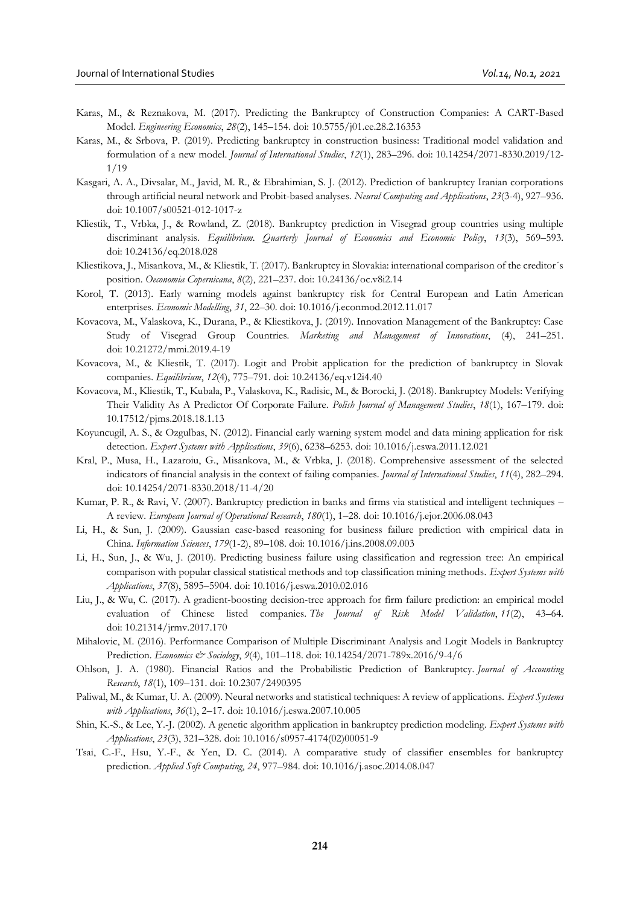- Karas, M., & Reznakova, M. (2017). Predicting the Bankruptcy of Construction Companies: A CART-Based Model. *Engineering Economics*, *28*(2), 145–154. doi: 10.5755/j01.ee.28.2.16353
- Karas, M., & Srbova, P. (2019). Predicting bankruptcy in construction business: Traditional model validation and formulation of a new model. *Journal of International Studies*, *12*(1), 283–296. doi: 10.14254/2071-8330.2019/12- 1/19
- Kasgari, A. A., Divsalar, M., Javid, M. R., & Ebrahimian, S. J. (2012). Prediction of bankruptcy Iranian corporations through artificial neural network and Probit-based analyses. *Neural Computing and Applications*, *23*(3-4), 927–936. doi: 10.1007/s00521-012-1017-z
- Kliestik, T., Vrbka, J., & Rowland, Z. (2018). Bankruptcy prediction in Visegrad group countries using multiple discriminant analysis. *Equilibrium. Quarterly Journal of Economics and Economic Policy*, *13*(3), 569–593. doi: 10.24136/eq.2018.028
- Kliestikova, J., Misankova, M., & Kliestik, T. (2017). Bankruptcy in Slovakia: international comparison of the creditor´s position. *Oeconomia Copernicana*, *8*(2), 221–237. doi: 10.24136/oc.v8i2.14
- Korol, T. (2013). Early warning models against bankruptcy risk for Central European and Latin American enterprises. *Economic Modelling*, *31*, 22–30. doi: 10.1016/j.econmod.2012.11.017
- Kovacova, M., Valaskova, K., Durana, P., & Kliestikova, J. (2019). Innovation Management of the Bankruptcy: Case Study of Visegrad Group Countries. *Marketing and Management of Innovations*, (4), 241–251. doi: 10.21272/mmi.2019.4-19
- Kovacova, M., & Kliestik, T. (2017). Logit and Probit application for the prediction of bankruptcy in Slovak companies. *Equilibrium*, *12*(4), 775–791. doi: 10.24136/eq.v12i4.40
- Kovacova, M., Kliestik, T., Kubala, P., Valaskova, K., Radisic, M., & Borocki, J. (2018). Bankruptcy Models: Verifying Their Validity As A Predictor Of Corporate Failure. *Polish Journal of Management Studies*, *18*(1), 167–179. doi: 10.17512/pjms.2018.18.1.13
- Koyuncugil, A. S., & Ozgulbas, N. (2012). Financial early warning system model and data mining application for risk detection. *Expert Systems with Applications*, *39*(6), 6238–6253. doi: 10.1016/j.eswa.2011.12.021
- Kral, P., Musa, H., Lazaroiu, G., Misankova, M., & Vrbka, J. (2018). Comprehensive assessment of the selected indicators of financial analysis in the context of failing companies. *Journal of International Studies*, *11*(4), 282–294. doi: 10.14254/2071-8330.2018/11-4/20
- Kumar, P. R., & Ravi, V. (2007). Bankruptcy prediction in banks and firms via statistical and intelligent techniques A review. *European Journal of Operational Research*, *180*(1), 1–28. doi: 10.1016/j.ejor.2006.08.043
- Li, H., & Sun, J. (2009). Gaussian case-based reasoning for business failure prediction with empirical data in China. *Information Sciences*, *179*(1-2), 89–108. doi: 10.1016/j.ins.2008.09.003
- Li, H., Sun, J., & Wu, J. (2010). Predicting business failure using classification and regression tree: An empirical comparison with popular classical statistical methods and top classification mining methods. *Expert Systems with Applications*, *37*(8), 5895–5904. doi: 10.1016/j.eswa.2010.02.016
- Liu, J., & Wu, C. (2017). A gradient-boosting decision-tree approach for firm failure prediction: an empirical model evaluation of Chinese listed companies. *The Journal of Risk Model Validation*, *11*(2), 43–64. doi: 10.21314/jrmv.2017.170
- Mihalovic, M. (2016). Performance Comparison of Multiple Discriminant Analysis and Logit Models in Bankruptcy Prediction. *Economics & Sociology*, *9*(4), 101–118. doi: 10.14254/2071-789x.2016/9-4/6
- Ohlson, J. A. (1980). Financial Ratios and the Probabilistic Prediction of Bankruptcy. *Journal of Accounting Research*, *18*(1), 109–131. doi: 10.2307/2490395
- Paliwal, M., & Kumar, U. A. (2009). Neural networks and statistical techniques: A review of applications. *Expert Systems with Applications*, *36*(1), 2–17. doi: 10.1016/j.eswa.2007.10.005
- Shin, K.-S., & Lee, Y.-J. (2002). A genetic algorithm application in bankruptcy prediction modeling. *Expert Systems with Applications*, *23*(3), 321–328. doi: 10.1016/s0957-4174(02)00051-9
- Tsai, C.-F., Hsu, Y.-F., & Yen, D. C. (2014). A comparative study of classifier ensembles for bankruptcy prediction. *Applied Soft Computing*, *24*, 977–984. doi: 10.1016/j.asoc.2014.08.047